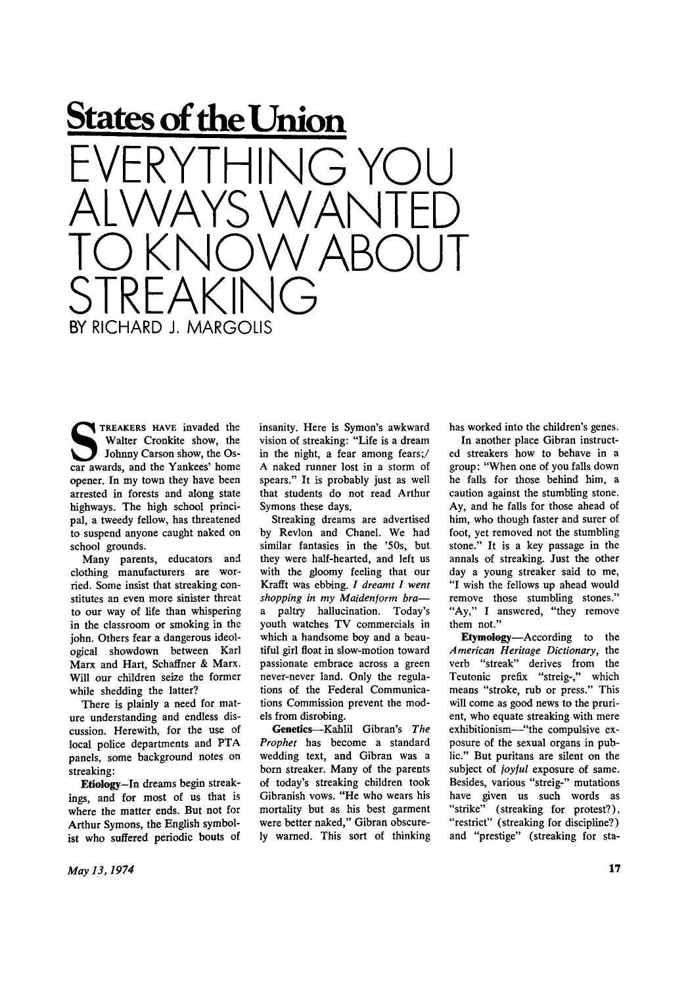

**SPACE TREAKERS HAVE invaded the Walter Cronkite show, the Oscar awards, and the Yankees' home TREAKERS HAVE** invaded the Walter Cronkite show, the Johnny Carson show, the Osopener. In my town they have been arrested in forests and along state highways. The high school principal, a tweedy fellow, has threatened to suspend anyone caught naked on school grounds.

Many parents, educators and clothing manufacturers are worried. Some insist that streaking constitutes an even more sinister threat to our way of life than whispering in the classroom or smoking in the john. Others fear a dangerous ideological showdown between Karl Marx and Hart, Schaffner & Marx. Will our children seize the former while shedding the latter?

There is plainly a need for mature understanding and endless discussion. Herewith, for the use of local police departments and PTA panels, some background notes on streaking:

**Etiology—**In dreams begin streakings, and for most of us that is where the matter ends. But not for Arthur Symons, the English symbolist who suffered periodic bouts of insanity. Here is Symon's awkward vision of streaking: "Life is a dream in the night, a fear among fears;/ A naked runner lost in a storm of spears." It is probably just as well that students do not read Arthur Symons these days.

Streaking dreams are advertised by Revlon and Chanel. We had similar fantasies in the '50s, but they were half-hearted, and left us with the gloomy feeling that our Krafft was ebbing. / *dreamt I went shopping in my Maidenjorm bra*  a paltry hallucination. Today's youth watches TV commercials in which a handsome boy and a beautiful girl float in slow-motion toward passionate embrace across a green never-never land. Only the regulations of the Federal Communications Commission prevent the models from disrobing.

**Genetics**—Kahlil Gibran's *The Prophet* has become a standard wedding text, and Gibran was a born streaker. Many of the parents of today's streaking children took Gibranish vows. "He who wears his mortality but as his best garment were better naked," Gibran obscurely warned. This sort of thinking has worked into the children's genes.

In another place Gibran instructed streakers how to behave in a group: "When one of you falls down he falls for those behind him, a caution against the stumbling stone. Ay, and he falls for those ahead of him, who though faster and surer of foot, yet removed not the stumbling stone." It is a key passage in the annals of streaking. Just the other day a young streaker said to me, "I wish the fellows up ahead would remove those stumbling stones." "Ay," I answered, "they remove them not."

**Etymology**—According to the *American Heritage Dictionary,* the verb "streak" derives from the Teutonic prefix "streig-," which means "stroke, rub or press." This will come as good news to the prurient, who equate streaking with mere exhibitionism—-"the compulsive exposure of the sexual organs in public." But puritans are silent on the subject of *joyful* exposure of same. Besides, various "streig-" mutations have given us such words as "strike" (streaking for protest?), "restrict" (streaking for discipline?) and "prestige" (streaking for sta